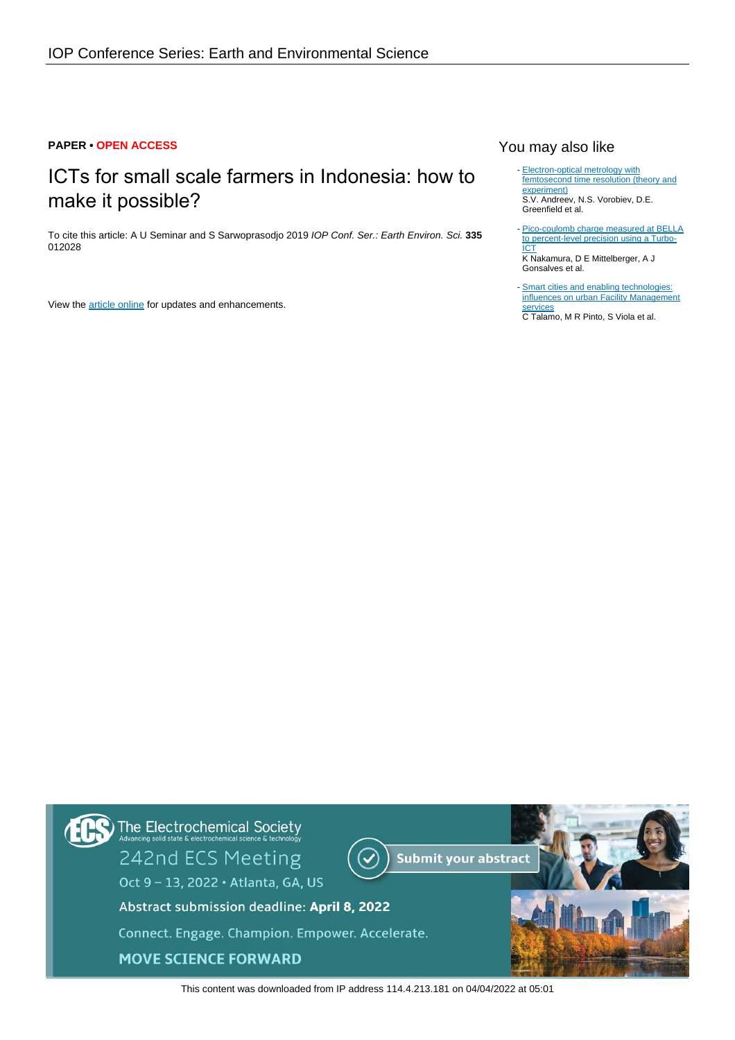## **PAPER • OPEN ACCESS**

# ICTs for small scale farmers in Indonesia: how to make it possible?

To cite this article: A U Seminar and S Sarwoprasodjo 2019 IOP Conf. Ser.: Earth Environ. Sci. **335** 012028

View the **[article online](https://doi.org/10.1088/1755-1315/335/1/012028)** for updates and enhancements.

# You may also like

- [Electron-optical metrology with](https://iopscience.iop.org/article/10.1070/QE2013v043n04ABEH015120) [femtosecond time resolution \(theory and](https://iopscience.iop.org/article/10.1070/QE2013v043n04ABEH015120) [experiment\)](https://iopscience.iop.org/article/10.1070/QE2013v043n04ABEH015120) S.V. Andreev, N.S. Vorobiev, D.E. Greenfield et al.
- [Pico-coulomb charge measured at BELLA](https://iopscience.iop.org/article/10.1088/0741-3335/58/3/034010) [to percent-level precision using a Turbo-](https://iopscience.iop.org/article/10.1088/0741-3335/58/3/034010)<u>[ICT](https://iopscience.iop.org/article/10.1088/0741-3335/58/3/034010)</u> K Nakamura, D E Mittelberger, A J Gonsalves et al. -
- [Smart cities and enabling technologies:](https://iopscience.iop.org/article/10.1088/1755-1315/296/1/012047) [influences on urban Facility Management](https://iopscience.iop.org/article/10.1088/1755-1315/296/1/012047) **[services](https://iopscience.iop.org/article/10.1088/1755-1315/296/1/012047)**

C Talamo, M R Pinto, S Viola et al.



This content was downloaded from IP address 114.4.213.181 on 04/04/2022 at 05:01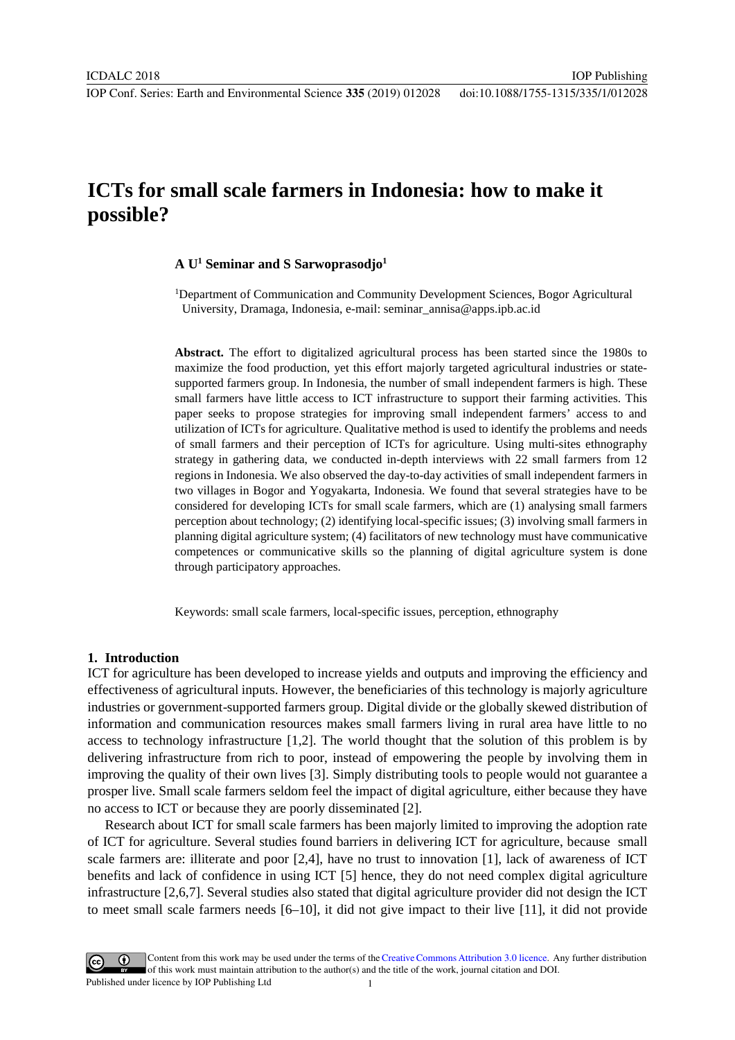# **ICTs for small scale farmers in Indonesia: how to make it possible?**

# **A U1 Seminar and S Sarwoprasodjo1**

<sup>1</sup>Department of Communication and Community Development Sciences, Bogor Agricultural University, Dramaga, Indonesia, e-mail: seminar\_annisa@apps.ipb.ac.id

IOP Publishing

**Abstract.** The effort to digitalized agricultural process has been started since the 1980s to maximize the food production, yet this effort majorly targeted agricultural industries or statesupported farmers group. In Indonesia, the number of small independent farmers is high. These small farmers have little access to ICT infrastructure to support their farming activities. This paper seeks to propose strategies for improving small independent farmers' access to and utilization of ICTs for agriculture. Qualitative method is used to identify the problems and needs of small farmers and their perception of ICTs for agriculture. Using multi-sites ethnography strategy in gathering data, we conducted in-depth interviews with 22 small farmers from 12 regions in Indonesia. We also observed the day-to-day activities of small independent farmers in two villages in Bogor and Yogyakarta, Indonesia. We found that several strategies have to be considered for developing ICTs for small scale farmers, which are (1) analysing small farmers perception about technology; (2) identifying local-specific issues; (3) involving small farmers in planning digital agriculture system; (4) facilitators of new technology must have communicative competences or communicative skills so the planning of digital agriculture system is done through participatory approaches.

Keywords: small scale farmers, local-specific issues, perception, ethnography

#### **1. Introduction**

ICT for agriculture has been developed to increase yields and outputs and improving the efficiency and effectiveness of agricultural inputs. However, the beneficiaries of this technology is majorly agriculture industries or government-supported farmers group. Digital divide or the globally skewed distribution of information and communication resources makes small farmers living in rural area have little to no access to technology infrastructure [1,2]. The world thought that the solution of this problem is by delivering infrastructure from rich to poor, instead of empowering the people by involving them in improving the quality of their own lives [3]. Simply distributing tools to people would not guarantee a prosper live. Small scale farmers seldom feel the impact of digital agriculture, either because they have no access to ICT or because they are poorly disseminated [2].

Research about ICT for small scale farmers has been majorly limited to improving the adoption rate of ICT for agriculture. Several studies found barriers in delivering ICT for agriculture, because small scale farmers are: illiterate and poor [2,4], have no trust to innovation [1], lack of awareness of ICT benefits and lack of confidence in using ICT [5] hence, they do not need complex digital agriculture infrastructure [2,6,7]. Several studies also stated that digital agriculture provider did not design the ICT to meet small scale farmers needs [6–10], it did not give impact to their live [11], it did not provide

Content from this work may be used under the terms of theCreative Commons Attribution 3.0 licence. Any further distribution of this work must maintain attribution to the author(s) and the title of the work, journal citation and DOI. Published under licence by IOP Publishing Ltd 1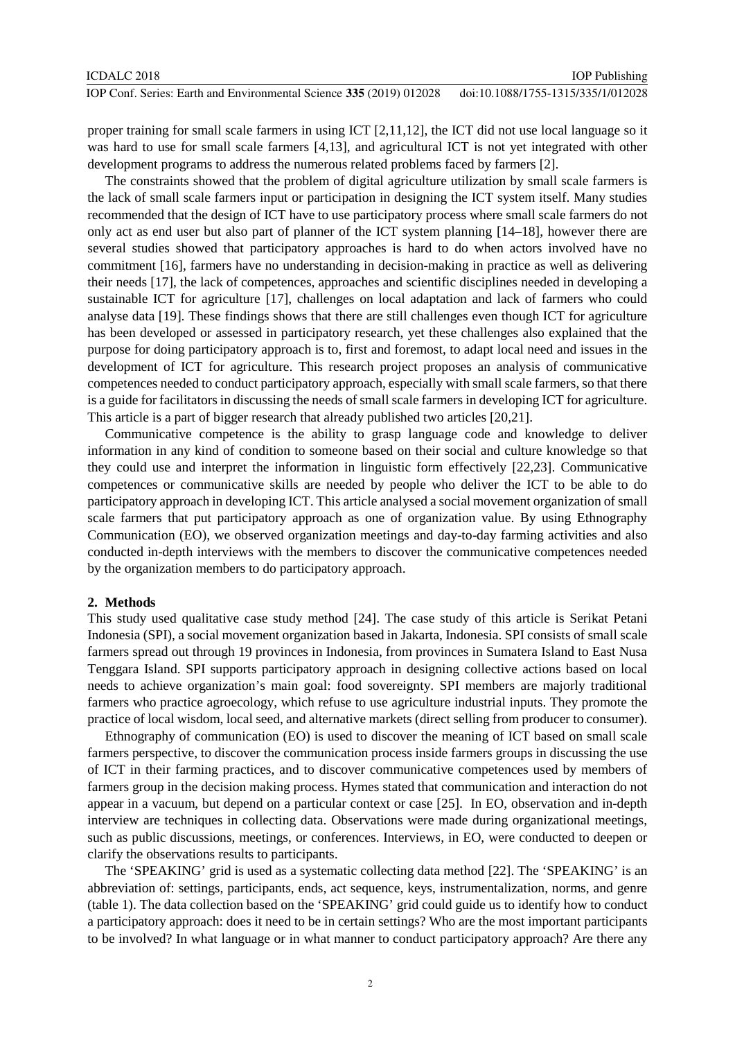proper training for small scale farmers in using ICT [2,11,12], the ICT did not use local language so it was hard to use for small scale farmers [4,13], and agricultural ICT is not yet integrated with other development programs to address the numerous related problems faced by farmers [2].

The constraints showed that the problem of digital agriculture utilization by small scale farmers is the lack of small scale farmers input or participation in designing the ICT system itself. Many studies recommended that the design of ICT have to use participatory process where small scale farmers do not only act as end user but also part of planner of the ICT system planning [14–18], however there are several studies showed that participatory approaches is hard to do when actors involved have no commitment [16], farmers have no understanding in decision-making in practice as well as delivering their needs [17], the lack of competences, approaches and scientific disciplines needed in developing a sustainable ICT for agriculture [17], challenges on local adaptation and lack of farmers who could analyse data [19]. These findings shows that there are still challenges even though ICT for agriculture has been developed or assessed in participatory research, yet these challenges also explained that the purpose for doing participatory approach is to, first and foremost, to adapt local need and issues in the development of ICT for agriculture. This research project proposes an analysis of communicative competences needed to conduct participatory approach, especially with small scale farmers, so that there is a guide for facilitators in discussing the needs of small scale farmers in developing ICT for agriculture. This article is a part of bigger research that already published two articles [20,21].

Communicative competence is the ability to grasp language code and knowledge to deliver information in any kind of condition to someone based on their social and culture knowledge so that they could use and interpret the information in linguistic form effectively [22,23]. Communicative competences or communicative skills are needed by people who deliver the ICT to be able to do participatory approach in developing ICT. This article analysed a social movement organization of small scale farmers that put participatory approach as one of organization value. By using Ethnography Communication (EO), we observed organization meetings and day-to-day farming activities and also conducted in-depth interviews with the members to discover the communicative competences needed by the organization members to do participatory approach.

#### **2. Methods**

This study used qualitative case study method [24]. The case study of this article is Serikat Petani Indonesia (SPI), a social movement organization based in Jakarta, Indonesia. SPI consists of small scale farmers spread out through 19 provinces in Indonesia, from provinces in Sumatera Island to East Nusa Tenggara Island. SPI supports participatory approach in designing collective actions based on local needs to achieve organization's main goal: food sovereignty. SPI members are majorly traditional farmers who practice agroecology, which refuse to use agriculture industrial inputs. They promote the practice of local wisdom, local seed, and alternative markets (direct selling from producer to consumer).

Ethnography of communication (EO) is used to discover the meaning of ICT based on small scale farmers perspective, to discover the communication process inside farmers groups in discussing the use of ICT in their farming practices, and to discover communicative competences used by members of farmers group in the decision making process. Hymes stated that communication and interaction do not appear in a vacuum, but depend on a particular context or case [25]. In EO, observation and in-depth interview are techniques in collecting data. Observations were made during organizational meetings, such as public discussions, meetings, or conferences. Interviews, in EO, were conducted to deepen or clarify the observations results to participants.

The 'SPEAKING' grid is used as a systematic collecting data method [22]. The 'SPEAKING' is an abbreviation of: settings, participants, ends, act sequence, keys, instrumentalization, norms, and genre (table 1). The data collection based on the 'SPEAKING' grid could guide us to identify how to conduct a participatory approach: does it need to be in certain settings? Who are the most important participants to be involved? In what language or in what manner to conduct participatory approach? Are there any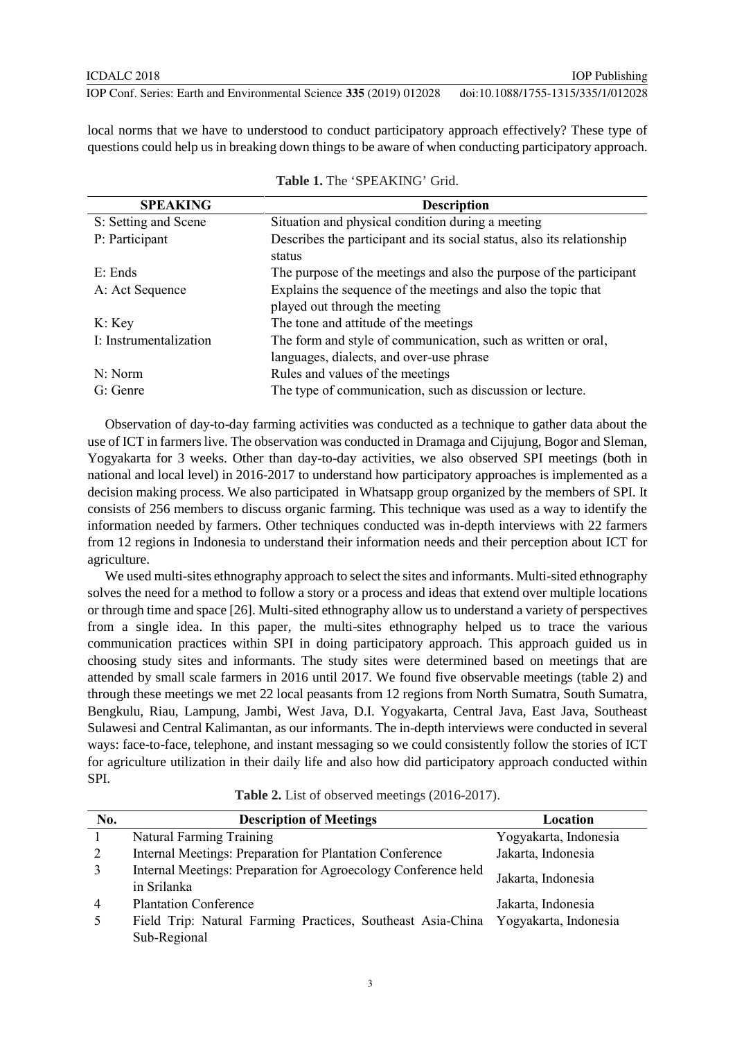local norms that we have to understood to conduct participatory approach effectively? These type of questions could help us in breaking down things to be aware of when conducting participatory approach.

| <b>SPEAKING</b>        | <b>Description</b>                                                               |  |  |
|------------------------|----------------------------------------------------------------------------------|--|--|
| S: Setting and Scene   | Situation and physical condition during a meeting                                |  |  |
| P: Participant         | Describes the participant and its social status, also its relationship<br>status |  |  |
| $E:$ Ends              |                                                                                  |  |  |
|                        | The purpose of the meetings and also the purpose of the participant              |  |  |
| A: Act Sequence        | Explains the sequence of the meetings and also the topic that                    |  |  |
|                        | played out through the meeting                                                   |  |  |
| K: Key                 | The tone and attitude of the meetings                                            |  |  |
| I: Instrumentalization | The form and style of communication, such as written or oral,                    |  |  |
|                        | languages, dialects, and over-use phrase                                         |  |  |
| N: Norm                | Rules and values of the meetings                                                 |  |  |
| $G:$ Genre             | The type of communication, such as discussion or lecture.                        |  |  |

| <b>Table 1.</b> The 'SPEAKING' Grid. |
|--------------------------------------|
|--------------------------------------|

Observation of day-to-day farming activities was conducted as a technique to gather data about the use of ICT in farmers live. The observation was conducted in Dramaga and Cijujung, Bogor and Sleman, Yogyakarta for 3 weeks. Other than day-to-day activities, we also observed SPI meetings (both in national and local level) in 2016-2017 to understand how participatory approaches is implemented as a decision making process. We also participated in Whatsapp group organized by the members of SPI. It consists of 256 members to discuss organic farming. This technique was used as a way to identify the information needed by farmers. Other techniques conducted was in-depth interviews with 22 farmers from 12 regions in Indonesia to understand their information needs and their perception about ICT for agriculture.

We used multi-sites ethnography approach to select the sites and informants. Multi-sited ethnography solves the need for a method to follow a story or a process and ideas that extend over multiple locations or through time and space [26]. Multi-sited ethnography allow us to understand a variety of perspectives from a single idea. In this paper, the multi-sites ethnography helped us to trace the various communication practices within SPI in doing participatory approach. This approach guided us in choosing study sites and informants. The study sites were determined based on meetings that are attended by small scale farmers in 2016 until 2017. We found five observable meetings (table 2) and through these meetings we met 22 local peasants from 12 regions from North Sumatra, South Sumatra, Bengkulu, Riau, Lampung, Jambi, West Java, D.I. Yogyakarta, Central Java, East Java, Southeast Sulawesi and Central Kalimantan, as our informants. The in-depth interviews were conducted in several ways: face-to-face, telephone, and instant messaging so we could consistently follow the stories of ICT for agriculture utilization in their daily life and also how did participatory approach conducted within SPI.

**Table 2.** List of observed meetings (2016-2017).

| No. | <b>Description of Meetings</b>                                                    | Location              |
|-----|-----------------------------------------------------------------------------------|-----------------------|
|     | Natural Farming Training                                                          | Yogyakarta, Indonesia |
| 2   | Internal Meetings: Preparation for Plantation Conference                          | Jakarta, Indonesia    |
|     | Internal Meetings: Preparation for Agroecology Conference held<br>in Srilanka     | Jakarta, Indonesia    |
| 4   | <b>Plantation Conference</b>                                                      | Jakarta, Indonesia    |
|     | Field Trip: Natural Farming Practices, Southeast Asia-China Yogyakarta, Indonesia |                       |
|     | Sub-Regional                                                                      |                       |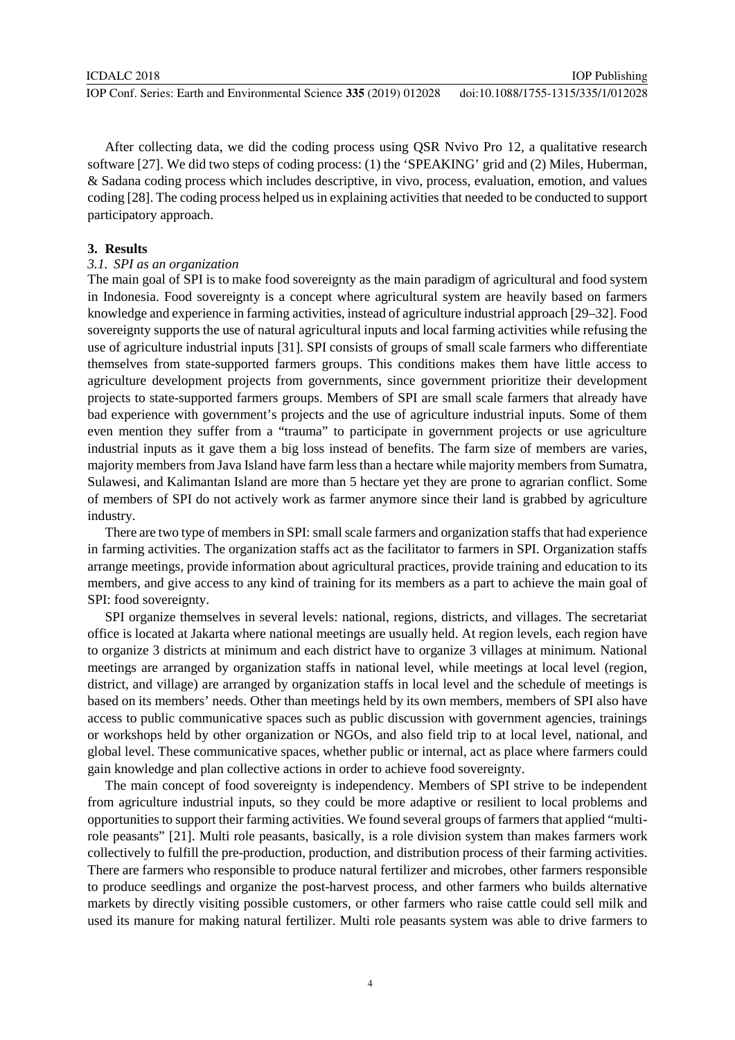IOP Publishing

After collecting data, we did the coding process using QSR Nvivo Pro 12, a qualitative research software [27]. We did two steps of coding process: (1) the 'SPEAKING' grid and (2) Miles, Huberman, & Sadana coding process which includes descriptive, in vivo, process, evaluation, emotion, and values coding [28]. The coding process helped us in explaining activities that needed to be conducted to support participatory approach.

## **3. Results**

# *3.1. SPI as an organization*

The main goal of SPI is to make food sovereignty as the main paradigm of agricultural and food system in Indonesia. Food sovereignty is a concept where agricultural system are heavily based on farmers knowledge and experience in farming activities, instead of agriculture industrial approach [29–32]. Food sovereignty supports the use of natural agricultural inputs and local farming activities while refusing the use of agriculture industrial inputs [31]. SPI consists of groups of small scale farmers who differentiate themselves from state-supported farmers groups. This conditions makes them have little access to agriculture development projects from governments, since government prioritize their development projects to state-supported farmers groups. Members of SPI are small scale farmers that already have bad experience with government's projects and the use of agriculture industrial inputs. Some of them even mention they suffer from a "trauma" to participate in government projects or use agriculture industrial inputs as it gave them a big loss instead of benefits. The farm size of members are varies, majority members from Java Island have farm less than a hectare while majority members from Sumatra, Sulawesi, and Kalimantan Island are more than 5 hectare yet they are prone to agrarian conflict. Some of members of SPI do not actively work as farmer anymore since their land is grabbed by agriculture industry.

There are two type of members in SPI: small scale farmers and organization staffs that had experience in farming activities. The organization staffs act as the facilitator to farmers in SPI. Organization staffs arrange meetings, provide information about agricultural practices, provide training and education to its members, and give access to any kind of training for its members as a part to achieve the main goal of SPI: food sovereignty.

SPI organize themselves in several levels: national, regions, districts, and villages. The secretariat office is located at Jakarta where national meetings are usually held. At region levels, each region have to organize 3 districts at minimum and each district have to organize 3 villages at minimum. National meetings are arranged by organization staffs in national level, while meetings at local level (region, district, and village) are arranged by organization staffs in local level and the schedule of meetings is based on its members' needs. Other than meetings held by its own members, members of SPI also have access to public communicative spaces such as public discussion with government agencies, trainings or workshops held by other organization or NGOs, and also field trip to at local level, national, and global level. These communicative spaces, whether public or internal, act as place where farmers could gain knowledge and plan collective actions in order to achieve food sovereignty.

The main concept of food sovereignty is independency. Members of SPI strive to be independent from agriculture industrial inputs, so they could be more adaptive or resilient to local problems and opportunities to support their farming activities. We found several groups of farmers that applied "multirole peasants" [21]. Multi role peasants, basically, is a role division system than makes farmers work collectively to fulfill the pre-production, production, and distribution process of their farming activities. There are farmers who responsible to produce natural fertilizer and microbes, other farmers responsible to produce seedlings and organize the post-harvest process, and other farmers who builds alternative markets by directly visiting possible customers, or other farmers who raise cattle could sell milk and used its manure for making natural fertilizer. Multi role peasants system was able to drive farmers to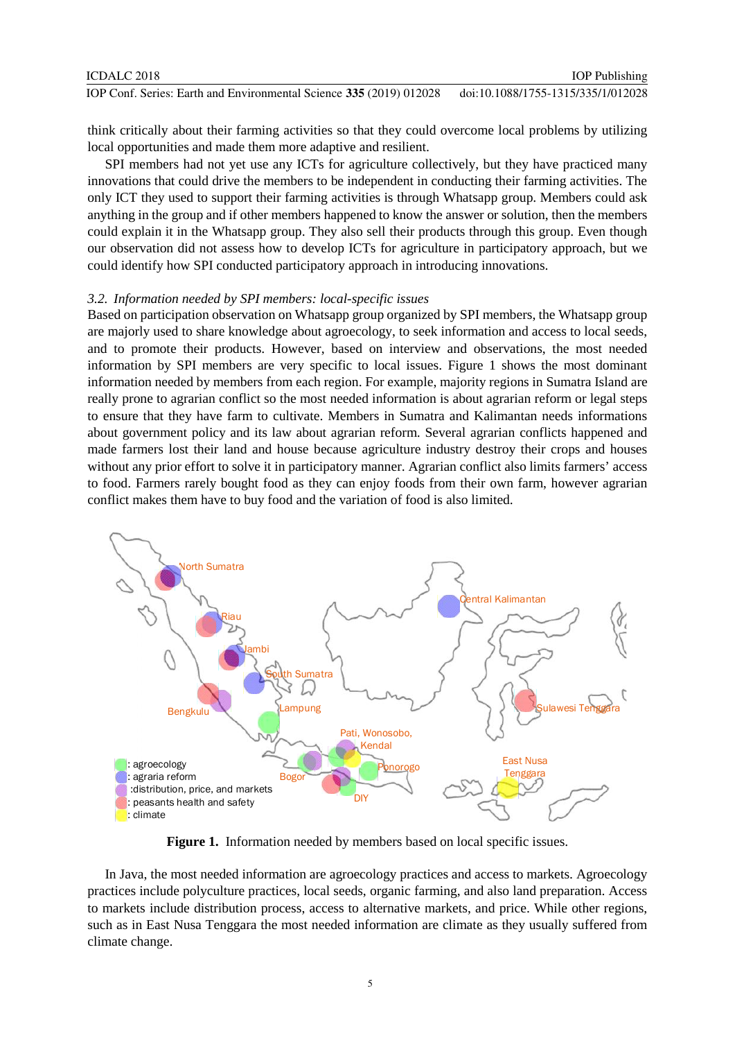think critically about their farming activities so that they could overcome local problems by utilizing local opportunities and made them more adaptive and resilient.

SPI members had not yet use any ICTs for agriculture collectively, but they have practiced many innovations that could drive the members to be independent in conducting their farming activities. The only ICT they used to support their farming activities is through Whatsapp group. Members could ask anything in the group and if other members happened to know the answer or solution, then the members could explain it in the Whatsapp group. They also sell their products through this group. Even though our observation did not assess how to develop ICTs for agriculture in participatory approach, but we could identify how SPI conducted participatory approach in introducing innovations.

#### *3.2. Information needed by SPI members: local-specific issues*

Based on participation observation on Whatsapp group organized by SPI members, the Whatsapp group are majorly used to share knowledge about agroecology, to seek information and access to local seeds, and to promote their products. However, based on interview and observations, the most needed information by SPI members are very specific to local issues. Figure 1 shows the most dominant information needed by members from each region. For example, majority regions in Sumatra Island are really prone to agrarian conflict so the most needed information is about agrarian reform or legal steps to ensure that they have farm to cultivate. Members in Sumatra and Kalimantan needs informations about government policy and its law about agrarian reform. Several agrarian conflicts happened and made farmers lost their land and house because agriculture industry destroy their crops and houses without any prior effort to solve it in participatory manner. Agrarian conflict also limits farmers' access to food. Farmers rarely bought food as they can enjoy foods from their own farm, however agrarian conflict makes them have to buy food and the variation of food is also limited.



**Figure 1.** Information needed by members based on local specific issues.

In Java, the most needed information are agroecology practices and access to markets. Agroecology practices include polyculture practices, local seeds, organic farming, and also land preparation. Access to markets include distribution process, access to alternative markets, and price. While other regions, such as in East Nusa Tenggara the most needed information are climate as they usually suffered from climate change.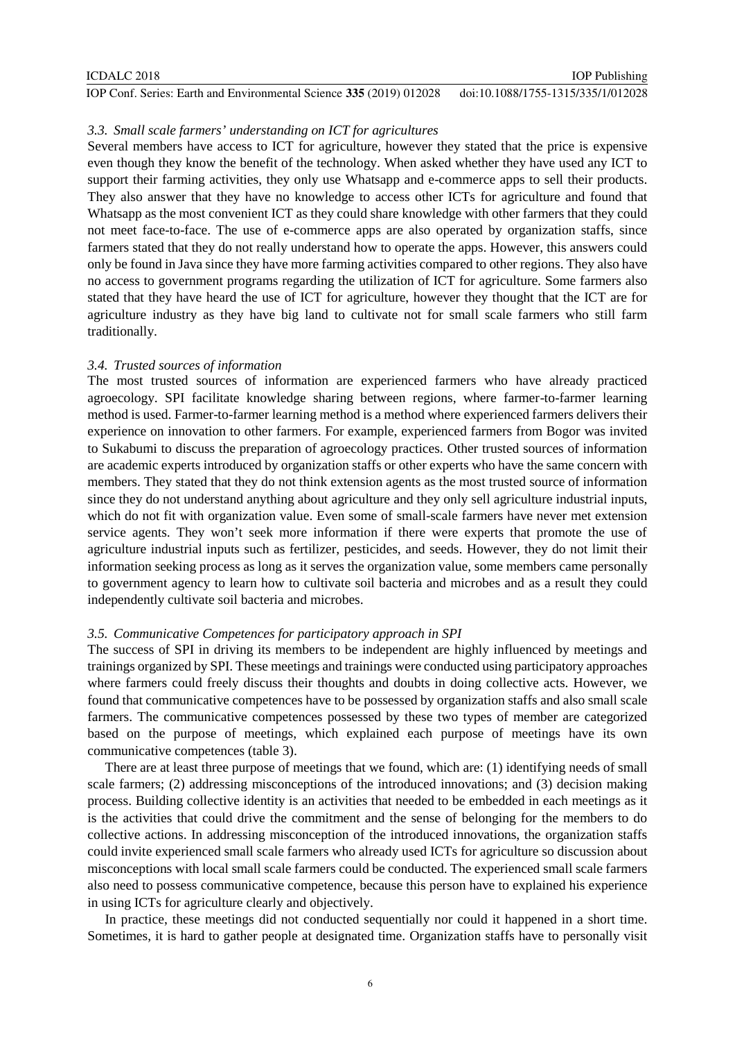| ICDALC 2018                                                         | <b>IOP</b> Publishing              |
|---------------------------------------------------------------------|------------------------------------|
| IOP Conf. Series: Earth and Environmental Science 335 (2019) 012028 | doi:10.1088/1755-1315/335/1/012028 |

## *3.3. Small scale farmers' understanding on ICT for agricultures*

Several members have access to ICT for agriculture, however they stated that the price is expensive even though they know the benefit of the technology. When asked whether they have used any ICT to support their farming activities, they only use Whatsapp and e-commerce apps to sell their products. They also answer that they have no knowledge to access other ICTs for agriculture and found that Whatsapp as the most convenient ICT as they could share knowledge with other farmers that they could not meet face-to-face. The use of e-commerce apps are also operated by organization staffs, since farmers stated that they do not really understand how to operate the apps. However, this answers could only be found in Java since they have more farming activities compared to other regions. They also have no access to government programs regarding the utilization of ICT for agriculture. Some farmers also stated that they have heard the use of ICT for agriculture, however they thought that the ICT are for agriculture industry as they have big land to cultivate not for small scale farmers who still farm traditionally.

## *3.4. Trusted sources of information*

The most trusted sources of information are experienced farmers who have already practiced agroecology. SPI facilitate knowledge sharing between regions, where farmer-to-farmer learning method is used. Farmer-to-farmer learning method is a method where experienced farmers delivers their experience on innovation to other farmers. For example, experienced farmers from Bogor was invited to Sukabumi to discuss the preparation of agroecology practices. Other trusted sources of information are academic experts introduced by organization staffs or other experts who have the same concern with members. They stated that they do not think extension agents as the most trusted source of information since they do not understand anything about agriculture and they only sell agriculture industrial inputs, which do not fit with organization value. Even some of small-scale farmers have never met extension service agents. They won't seek more information if there were experts that promote the use of agriculture industrial inputs such as fertilizer, pesticides, and seeds. However, they do not limit their information seeking process as long as it serves the organization value, some members came personally to government agency to learn how to cultivate soil bacteria and microbes and as a result they could independently cultivate soil bacteria and microbes.

#### *3.5. Communicative Competences for participatory approach in SPI*

The success of SPI in driving its members to be independent are highly influenced by meetings and trainings organized by SPI. These meetings and trainings were conducted using participatory approaches where farmers could freely discuss their thoughts and doubts in doing collective acts. However, we found that communicative competences have to be possessed by organization staffs and also small scale farmers. The communicative competences possessed by these two types of member are categorized based on the purpose of meetings, which explained each purpose of meetings have its own communicative competences (table 3).

There are at least three purpose of meetings that we found, which are: (1) identifying needs of small scale farmers; (2) addressing misconceptions of the introduced innovations; and (3) decision making process. Building collective identity is an activities that needed to be embedded in each meetings as it is the activities that could drive the commitment and the sense of belonging for the members to do collective actions. In addressing misconception of the introduced innovations, the organization staffs could invite experienced small scale farmers who already used ICTs for agriculture so discussion about misconceptions with local small scale farmers could be conducted. The experienced small scale farmers also need to possess communicative competence, because this person have to explained his experience in using ICTs for agriculture clearly and objectively.

In practice, these meetings did not conducted sequentially nor could it happened in a short time. Sometimes, it is hard to gather people at designated time. Organization staffs have to personally visit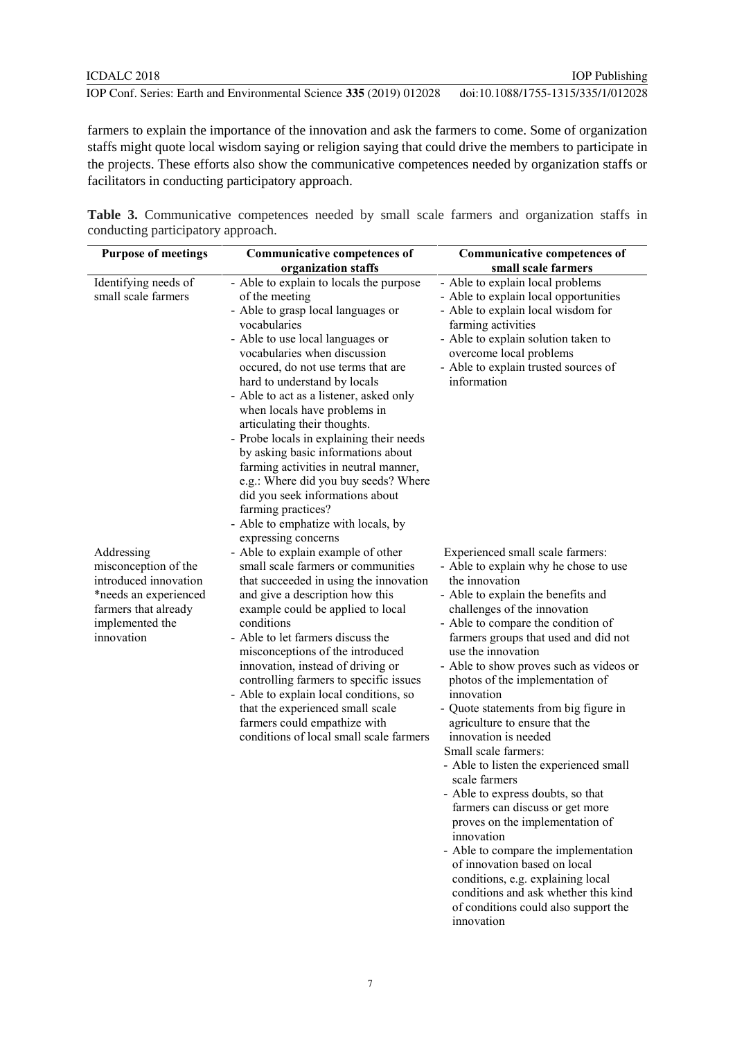farmers to explain the importance of the innovation and ask the farmers to come. Some of organization staffs might quote local wisdom saying or religion saying that could drive the members to participate in the projects. These efforts also show the communicative competences needed by organization staffs or facilitators in conducting participatory approach.

**Table 3.** Communicative competences needed by small scale farmers and organization staffs in conducting participatory approach.

| <b>Purpose of meetings</b> | <b>Communicative competences of</b>                                         | <b>Communicative competences of</b>                                        |
|----------------------------|-----------------------------------------------------------------------------|----------------------------------------------------------------------------|
|                            | organization staffs                                                         | small scale farmers                                                        |
| Identifying needs of       | - Able to explain to locals the purpose                                     | - Able to explain local problems                                           |
| small scale farmers        | of the meeting                                                              | - Able to explain local opportunities                                      |
|                            | - Able to grasp local languages or                                          | - Able to explain local wisdom for                                         |
|                            | vocabularies                                                                | farming activities                                                         |
|                            | - Able to use local languages or                                            | - Able to explain solution taken to                                        |
|                            | vocabularies when discussion                                                | overcome local problems                                                    |
|                            | occured, do not use terms that are                                          | - Able to explain trusted sources of                                       |
|                            | hard to understand by locals                                                | information                                                                |
|                            | - Able to act as a listener, asked only<br>when locals have problems in     |                                                                            |
|                            | articulating their thoughts.                                                |                                                                            |
|                            | - Probe locals in explaining their needs                                    |                                                                            |
|                            | by asking basic informations about                                          |                                                                            |
|                            | farming activities in neutral manner,                                       |                                                                            |
|                            | e.g.: Where did you buy seeds? Where                                        |                                                                            |
|                            | did you seek informations about                                             |                                                                            |
|                            | farming practices?                                                          |                                                                            |
|                            | - Able to emphatize with locals, by                                         |                                                                            |
|                            | expressing concerns                                                         |                                                                            |
| Addressing                 | - Able to explain example of other                                          | Experienced small scale farmers:                                           |
| misconception of the       | small scale farmers or communities                                          | - Able to explain why he chose to use                                      |
| introduced innovation      | that succeeded in using the innovation                                      | the innovation                                                             |
| *needs an experienced      | and give a description how this                                             | - Able to explain the benefits and                                         |
| farmers that already       | example could be applied to local                                           | challenges of the innovation                                               |
| implemented the            | conditions                                                                  | - Able to compare the condition of                                         |
| innovation                 | - Able to let farmers discuss the                                           | farmers groups that used and did not                                       |
|                            | misconceptions of the introduced                                            | use the innovation                                                         |
|                            | innovation, instead of driving or<br>controlling farmers to specific issues | - Able to show proves such as videos or<br>photos of the implementation of |
|                            | - Able to explain local conditions, so                                      | innovation                                                                 |
|                            | that the experienced small scale                                            | - Quote statements from big figure in                                      |
|                            | farmers could empathize with                                                | agriculture to ensure that the                                             |
|                            | conditions of local small scale farmers                                     | innovation is needed                                                       |
|                            |                                                                             | Small scale farmers:                                                       |
|                            |                                                                             | - Able to listen the experienced small                                     |
|                            |                                                                             | scale farmers                                                              |
|                            |                                                                             | - Able to express doubts, so that                                          |
|                            |                                                                             | farmers can discuss or get more                                            |
|                            |                                                                             | proves on the implementation of                                            |
|                            |                                                                             | innovation                                                                 |
|                            |                                                                             | - Able to compare the implementation                                       |
|                            |                                                                             | of innovation based on local                                               |
|                            |                                                                             | conditions, e.g. explaining local                                          |

conditions and ask whether this kind

of conditions could also support the

innovation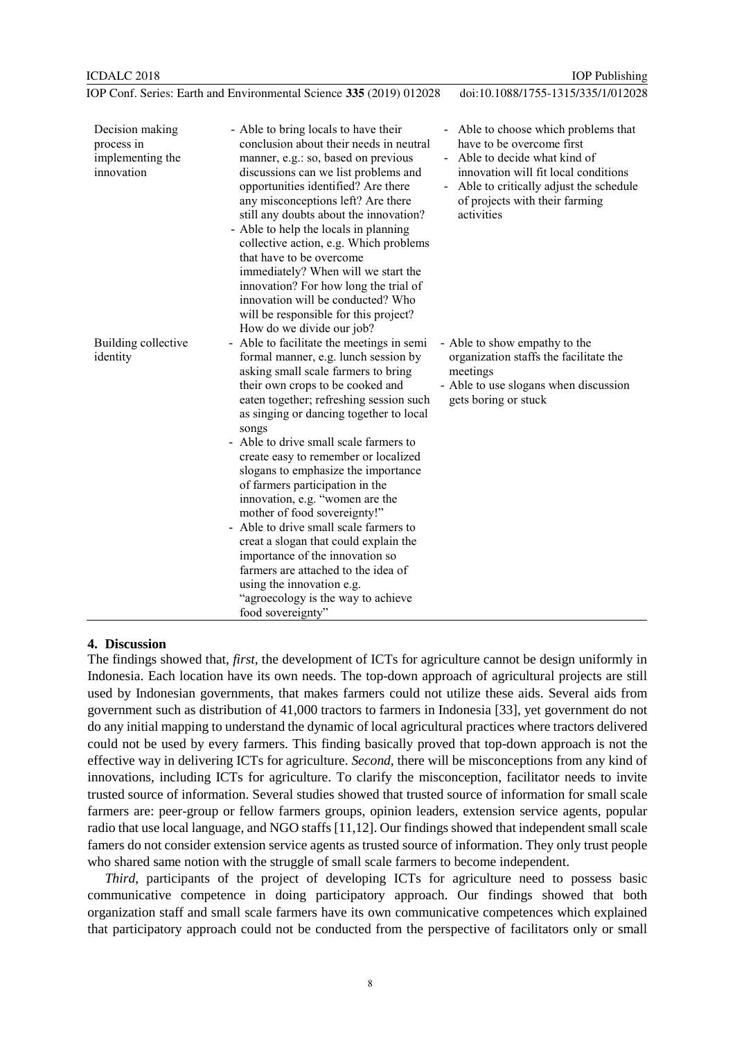Building collective

identity

IOP Publishing

|                                                                 | IOP Conf. Series: Earth and Environmental Science 335 (2019) 012028                                                                                                                                                                                                                                                                                                                                                                         | doi:10.1088/1755-1315/335/1/012028                                                                                                                                                                                                     |
|-----------------------------------------------------------------|---------------------------------------------------------------------------------------------------------------------------------------------------------------------------------------------------------------------------------------------------------------------------------------------------------------------------------------------------------------------------------------------------------------------------------------------|----------------------------------------------------------------------------------------------------------------------------------------------------------------------------------------------------------------------------------------|
| Decision making<br>process in<br>implementing the<br>innovation | - Able to bring locals to have their<br>conclusion about their needs in neutral<br>manner, e.g.: so, based on previous<br>discussions can we list problems and<br>opportunities identified? Are there<br>any misconceptions left? Are there<br>still any doubts about the innovation?<br>- Able to help the locals in planning<br>collective action, e.g. Which problems<br>that have to be overcome<br>immediately? When will we start the | - Able to choose which problems that<br>have to be overcome first<br>- Able to decide what kind of<br>innovation will fit local conditions<br>- Able to critically adjust the schedule<br>of projects with their farming<br>activities |

innovation? For how long the trial of innovation will be conducted? Who will be responsible for this project? How do we divide our job?

slogans to emphasize the importance of farmers participation in the innovation, e.g. "women are the mother of food sovereignty!" - Able to drive small scale farmers to creat a slogan that could explain the importance of the innovation so farmers are attached to the idea of

using the innovation e.g.

food sovereignty"

"agroecology is the way to achieve

songs

- Able to facilitate the meetings in semi formal manner, e.g. lunch session by asking small scale farmers to bring their own crops to be cooked and eaten together; refreshing session such as singing or dancing together to local - Able to drive small scale farmers to create easy to remember or localized - Able to show empathy to the organization staffs the facilitate the meetings Able to use slogans when discussion gets boring or stuck

#### **4. Discussion**

The findings showed that, *first*, the development of ICTs for agriculture cannot be design uniformly in Indonesia. Each location have its own needs. The top-down approach of agricultural projects are still used by Indonesian governments, that makes farmers could not utilize these aids. Several aids from government such as distribution of 41,000 tractors to farmers in Indonesia [33], yet government do not do any initial mapping to understand the dynamic of local agricultural practices where tractors delivered could not be used by every farmers. This finding basically proved that top-down approach is not the effective way in delivering ICTs for agriculture. *Second*, there will be misconceptions from any kind of innovations, including ICTs for agriculture. To clarify the misconception, facilitator needs to invite trusted source of information. Several studies showed that trusted source of information for small scale farmers are: peer-group or fellow farmers groups, opinion leaders, extension service agents, popular radio that use local language, and NGO staffs [11,12]. Our findings showed that independent small scale famers do not consider extension service agents as trusted source of information. They only trust people who shared same notion with the struggle of small scale farmers to become independent.

*Third*, participants of the project of developing ICTs for agriculture need to possess basic communicative competence in doing participatory approach. Our findings showed that both organization staff and small scale farmers have its own communicative competences which explained that participatory approach could not be conducted from the perspective of facilitators only or small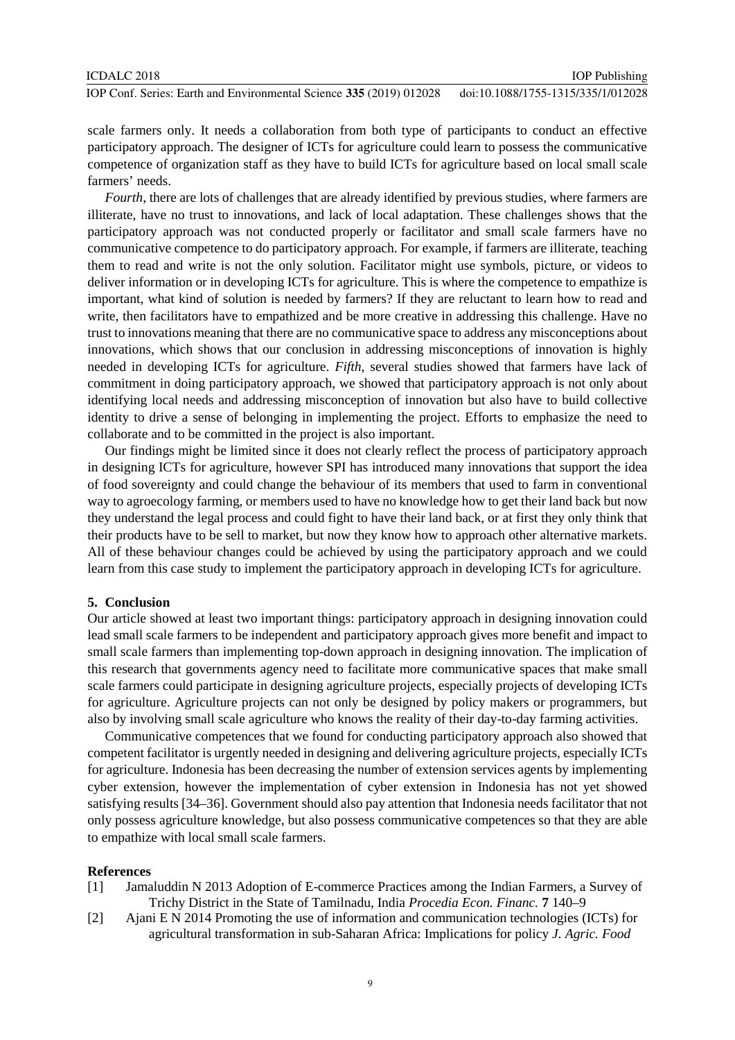scale farmers only. It needs a collaboration from both type of participants to conduct an effective participatory approach. The designer of ICTs for agriculture could learn to possess the communicative competence of organization staff as they have to build ICTs for agriculture based on local small scale farmers' needs.

*Fourth*, there are lots of challenges that are already identified by previous studies, where farmers are illiterate, have no trust to innovations, and lack of local adaptation. These challenges shows that the participatory approach was not conducted properly or facilitator and small scale farmers have no communicative competence to do participatory approach. For example, if farmers are illiterate, teaching them to read and write is not the only solution. Facilitator might use symbols, picture, or videos to deliver information or in developing ICTs for agriculture. This is where the competence to empathize is important, what kind of solution is needed by farmers? If they are reluctant to learn how to read and write, then facilitators have to empathized and be more creative in addressing this challenge. Have no trust to innovations meaning that there are no communicative space to address any misconceptions about innovations, which shows that our conclusion in addressing misconceptions of innovation is highly needed in developing ICTs for agriculture. *Fifth*, several studies showed that farmers have lack of commitment in doing participatory approach, we showed that participatory approach is not only about identifying local needs and addressing misconception of innovation but also have to build collective identity to drive a sense of belonging in implementing the project. Efforts to emphasize the need to collaborate and to be committed in the project is also important.

Our findings might be limited since it does not clearly reflect the process of participatory approach in designing ICTs for agriculture, however SPI has introduced many innovations that support the idea of food sovereignty and could change the behaviour of its members that used to farm in conventional way to agroecology farming, or members used to have no knowledge how to get their land back but now they understand the legal process and could fight to have their land back, or at first they only think that their products have to be sell to market, but now they know how to approach other alternative markets. All of these behaviour changes could be achieved by using the participatory approach and we could learn from this case study to implement the participatory approach in developing ICTs for agriculture.

#### **5. Conclusion**

Our article showed at least two important things: participatory approach in designing innovation could lead small scale farmers to be independent and participatory approach gives more benefit and impact to small scale farmers than implementing top-down approach in designing innovation. The implication of this research that governments agency need to facilitate more communicative spaces that make small scale farmers could participate in designing agriculture projects, especially projects of developing ICTs for agriculture. Agriculture projects can not only be designed by policy makers or programmers, but also by involving small scale agriculture who knows the reality of their day-to-day farming activities.

Communicative competences that we found for conducting participatory approach also showed that competent facilitator is urgently needed in designing and delivering agriculture projects, especially ICTs for agriculture. Indonesia has been decreasing the number of extension services agents by implementing cyber extension, however the implementation of cyber extension in Indonesia has not yet showed satisfying results [34–36]. Government should also pay attention that Indonesia needs facilitator that not only possess agriculture knowledge, but also possess communicative competences so that they are able to empathize with local small scale farmers.

#### **References**

- [1] Jamaluddin N 2013 Adoption of E-commerce Practices among the Indian Farmers, a Survey of Trichy District in the State of Tamilnadu, India *Procedia Econ. Financ.* **7** 140–9
- [2] Ajani E N 2014 Promoting the use of information and communication technologies (ICTs) for agricultural transformation in sub-Saharan Africa: Implications for policy *J. Agric. Food*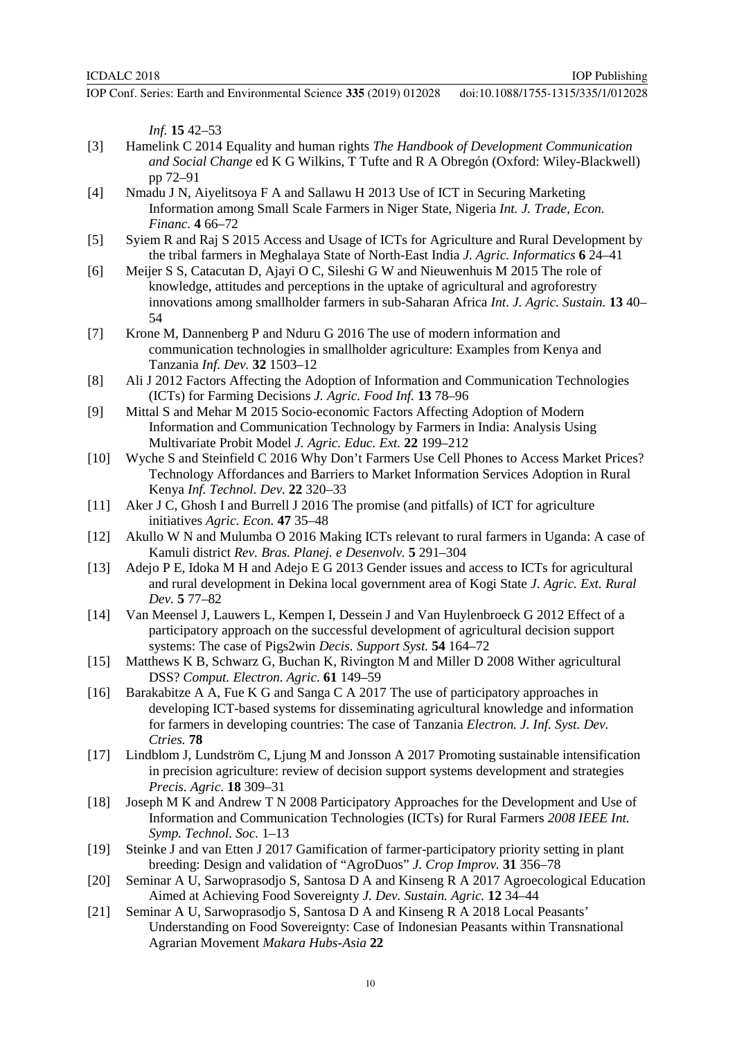*Inf.* **15** 42–53

- [3] Hamelink C 2014 Equality and human rights *The Handbook of Development Communication and Social Change* ed K G Wilkins, T Tufte and R A Obregón (Oxford: Wiley-Blackwell) pp 72–91
- [4] Nmadu J N, Aiyelitsoya F A and Sallawu H 2013 Use of ICT in Securing Marketing Information among Small Scale Farmers in Niger State, Nigeria *Int. J. Trade, Econ. Financ.* **4** 66–72
- [5] Syiem R and Raj S 2015 Access and Usage of ICTs for Agriculture and Rural Development by the tribal farmers in Meghalaya State of North-East India *J. Agric. Informatics* **6** 24–41
- [6] Meijer S S, Catacutan D, Ajayi O C, Sileshi G W and Nieuwenhuis M 2015 The role of knowledge, attitudes and perceptions in the uptake of agricultural and agroforestry innovations among smallholder farmers in sub-Saharan Africa *Int. J. Agric. Sustain.* **13** 40– 54
- [7] Krone M, Dannenberg P and Nduru G 2016 The use of modern information and communication technologies in smallholder agriculture: Examples from Kenya and Tanzania *Inf. Dev.* **32** 1503–12
- [8] Ali J 2012 Factors Affecting the Adoption of Information and Communication Technologies (ICTs) for Farming Decisions *J. Agric. Food Inf.* **13** 78–96
- [9] Mittal S and Mehar M 2015 Socio-economic Factors Affecting Adoption of Modern Information and Communication Technology by Farmers in India: Analysis Using Multivariate Probit Model *J. Agric. Educ. Ext.* **22** 199–212
- [10] Wyche S and Steinfield C 2016 Why Don't Farmers Use Cell Phones to Access Market Prices? Technology Affordances and Barriers to Market Information Services Adoption in Rural Kenya *Inf. Technol. Dev.* **22** 320–33
- [11] Aker J C, Ghosh I and Burrell J 2016 The promise (and pitfalls) of ICT for agriculture initiatives *Agric. Econ.* **47** 35–48
- [12] Akullo W N and Mulumba O 2016 Making ICTs relevant to rural farmers in Uganda: A case of Kamuli district *Rev. Bras. Planej. e Desenvolv.* **5** 291–304
- [13] Adejo P E, Idoka M H and Adejo E G 2013 Gender issues and access to ICTs for agricultural and rural development in Dekina local government area of Kogi State *J. Agric. Ext. Rural Dev.* **5** 77–82
- [14] Van Meensel J, Lauwers L, Kempen I, Dessein J and Van Huylenbroeck G 2012 Effect of a participatory approach on the successful development of agricultural decision support systems: The case of Pigs2win *Decis. Support Syst.* **54** 164–72
- [15] Matthews K B, Schwarz G, Buchan K, Rivington M and Miller D 2008 Wither agricultural DSS? *Comput. Electron. Agric.* **61** 149–59
- [16] Barakabitze A A, Fue K G and Sanga C A 2017 The use of participatory approaches in developing ICT-based systems for disseminating agricultural knowledge and information for farmers in developing countries: The case of Tanzania *Electron. J. Inf. Syst. Dev. Ctries.* **78**
- [17] Lindblom J, Lundström C, Ljung M and Jonsson A 2017 Promoting sustainable intensification in precision agriculture: review of decision support systems development and strategies *Precis. Agric.* **18** 309–31
- [18] Joseph M K and Andrew T N 2008 Participatory Approaches for the Development and Use of Information and Communication Technologies (ICTs) for Rural Farmers *2008 IEEE Int. Symp. Technol. Soc.* 1–13
- [19] Steinke J and van Etten J 2017 Gamification of farmer-participatory priority setting in plant breeding: Design and validation of "AgroDuos" *J. Crop Improv.* **31** 356–78
- [20] Seminar A U, Sarwoprasodjo S, Santosa D A and Kinseng R A 2017 Agroecological Education Aimed at Achieving Food Sovereignty *J. Dev. Sustain. Agric.* **12** 34–44
- [21] Seminar A U, Sarwoprasodjo S, Santosa D A and Kinseng R A 2018 Local Peasants' Understanding on Food Sovereignty: Case of Indonesian Peasants within Transnational Agrarian Movement *Makara Hubs-Asia* **22**